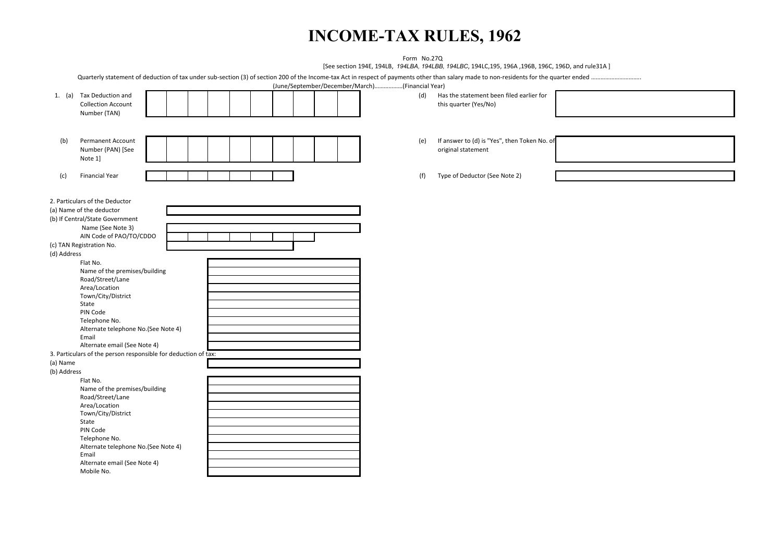# **INCOME-TAX RULES, 1962**

|             |                                                                |                                                 | Form No.27Q |                                                                                                    |  |
|-------------|----------------------------------------------------------------|-------------------------------------------------|-------------|----------------------------------------------------------------------------------------------------|--|
|             |                                                                |                                                 |             | [See section 194E, 194LB, 194LBA, 194LBB, 194LBC, 194LC, 195, 196A, 196B, 196C, 196D, and rule31A] |  |
|             |                                                                |                                                 |             |                                                                                                    |  |
|             |                                                                | (June/September/December/March)(Financial Year) |             |                                                                                                    |  |
|             | 1. (a) Tax Deduction and                                       |                                                 | (d)         | Has the statement been filed earlier for                                                           |  |
|             | <b>Collection Account</b>                                      |                                                 |             | this quarter (Yes/No)                                                                              |  |
|             | Number (TAN)                                                   |                                                 |             |                                                                                                    |  |
|             |                                                                |                                                 |             |                                                                                                    |  |
|             |                                                                |                                                 |             |                                                                                                    |  |
|             |                                                                |                                                 |             | If answer to (d) is "Yes", then Token No. of                                                       |  |
| (b)         | Permanent Account<br>Number (PAN) [See                         |                                                 | (e)         | original statement                                                                                 |  |
|             |                                                                |                                                 |             |                                                                                                    |  |
|             | Note 1]                                                        |                                                 |             |                                                                                                    |  |
|             |                                                                |                                                 |             |                                                                                                    |  |
| (c)         | <b>Financial Year</b>                                          |                                                 | (f)         | Type of Deductor (See Note 2)                                                                      |  |
|             |                                                                |                                                 |             |                                                                                                    |  |
|             |                                                                |                                                 |             |                                                                                                    |  |
|             | 2. Particulars of the Deductor                                 |                                                 |             |                                                                                                    |  |
|             | (a) Name of the deductor                                       |                                                 |             |                                                                                                    |  |
|             | (b) If Central/State Government                                |                                                 |             |                                                                                                    |  |
|             | Name (See Note 3)                                              |                                                 |             |                                                                                                    |  |
|             | AIN Code of PAO/TO/CDDO                                        |                                                 |             |                                                                                                    |  |
|             | (c) TAN Registration No.                                       |                                                 |             |                                                                                                    |  |
| (d) Address |                                                                |                                                 |             |                                                                                                    |  |
|             | Flat No.                                                       |                                                 |             |                                                                                                    |  |
|             | Name of the premises/building                                  |                                                 |             |                                                                                                    |  |
|             | Road/Street/Lane<br>Area/Location                              |                                                 |             |                                                                                                    |  |
|             | Town/City/District                                             |                                                 |             |                                                                                                    |  |
|             | State                                                          |                                                 |             |                                                                                                    |  |
|             | PIN Code                                                       |                                                 |             |                                                                                                    |  |
|             | Telephone No.                                                  |                                                 |             |                                                                                                    |  |
|             | Alternate telephone No.(See Note 4)                            |                                                 |             |                                                                                                    |  |
|             | Email                                                          |                                                 |             |                                                                                                    |  |
|             | Alternate email (See Note 4)                                   |                                                 |             |                                                                                                    |  |
|             | 3. Particulars of the person responsible for deduction of tax: |                                                 |             |                                                                                                    |  |
| (a) Name    |                                                                |                                                 |             |                                                                                                    |  |
| (b) Address |                                                                |                                                 |             |                                                                                                    |  |
|             | Flat No.                                                       |                                                 |             |                                                                                                    |  |
|             | Name of the premises/building                                  |                                                 |             |                                                                                                    |  |
|             | Road/Street/Lane                                               |                                                 |             |                                                                                                    |  |
|             | Area/Location                                                  |                                                 |             |                                                                                                    |  |
|             | Town/City/District                                             |                                                 |             |                                                                                                    |  |
|             | State                                                          |                                                 |             |                                                                                                    |  |
|             | PIN Code                                                       |                                                 |             |                                                                                                    |  |
|             | Telephone No.                                                  |                                                 |             |                                                                                                    |  |
|             | Alternate telephone No.(See Note 4)                            |                                                 |             |                                                                                                    |  |
|             | Email                                                          |                                                 |             |                                                                                                    |  |
|             | Alternate email (See Note 4)                                   |                                                 |             |                                                                                                    |  |
|             | Mobile No.                                                     |                                                 |             |                                                                                                    |  |
|             |                                                                |                                                 |             |                                                                                                    |  |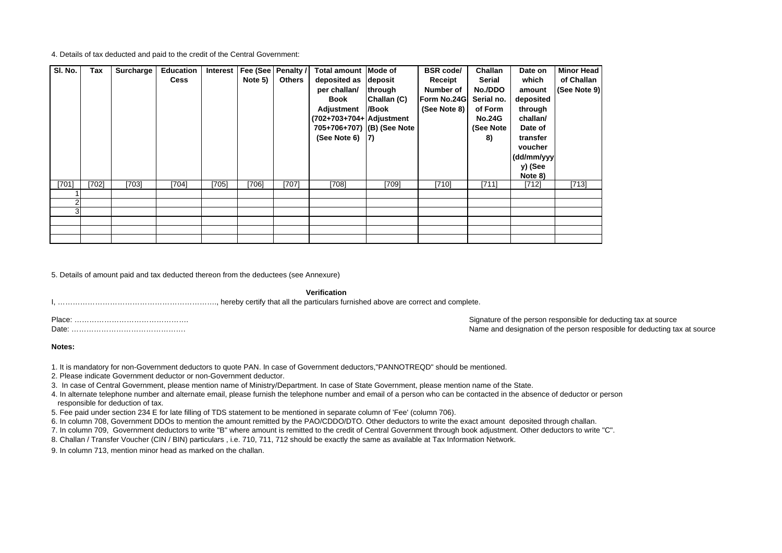4. Details of tax deducted and paid to the credit of the Central Government:

| SI. No. | Tax   | Surcharge | <b>Education</b> | Interest | Fee (See | Penalty /     | Total amount Mode of       |             | <b>BSR</b> code/         | Challan       | Date on    | <b>Minor Head</b> |
|---------|-------|-----------|------------------|----------|----------|---------------|----------------------------|-------------|--------------------------|---------------|------------|-------------------|
|         |       |           | <b>Cess</b>      |          | Note 5)  | <b>Others</b> | deposited as<br>deposit    |             | <b>Serial</b><br>Receipt |               | which      | of Challan        |
|         |       |           |                  |          |          |               | per challan/               | through     | Number of                | No./DDO       | amount     | (See Note 9)      |
|         |       |           |                  |          |          |               | Book                       | Challan (C) | Form No.24G              | Serial no.    | deposited  |                   |
|         |       |           |                  |          |          |               | Adjustment                 | /Book       | (See Note 8)             | of Form       | through    |                   |
|         |       |           |                  |          |          |               | (702+703+704+ Adjustment   |             |                          | <b>No.24G</b> | challan/   |                   |
|         |       |           |                  |          |          |               | 705+706+707) (B) (See Note |             |                          | (See Note     | Date of    |                   |
|         |       |           |                  |          |          |               | (See Note 6)               | $\vert 7)$  |                          | 8)            | transfer   |                   |
|         |       |           |                  |          |          |               |                            |             |                          |               | voucher    |                   |
|         |       |           |                  |          |          |               |                            |             |                          |               | (dd/mm/yyy |                   |
|         |       |           |                  |          |          |               |                            |             |                          |               | y) (See    |                   |
|         |       |           |                  |          |          |               |                            |             |                          |               | Note 8)    |                   |
| [701]   | [702] | [703]     | [704]            | [705]    | [706]    | [707]         | [708]                      | [709]       | [710]                    | [711]         | [712]      | [713]             |
|         |       |           |                  |          |          |               |                            |             |                          |               |            |                   |
|         |       |           |                  |          |          |               |                            |             |                          |               |            |                   |
|         |       |           |                  |          |          |               |                            |             |                          |               |            |                   |
|         |       |           |                  |          |          |               |                            |             |                          |               |            |                   |
|         |       |           |                  |          |          |               |                            |             |                          |               |            |                   |
|         |       |           |                  |          |          |               |                            |             |                          |               |            |                   |

5. Details of amount paid and tax deducted thereon from the deductees (see Annexure)

**Verification**

Signature of the person responsible for deducting tax at source Name and designation of the person resposible for deducting tax at source

#### **Notes:**

1. It is mandatory for non-Government deductors to quote PAN. In case of Government deductors,"PANNOTREQD" should be mentioned.

2. Please indicate Government deductor or non-Government deductor.

3. In case of Central Government, please mention name of Ministry/Department. In case of State Government, please mention name of the State.

4. In alternate telephone number and alternate email, please furnish the telephone number and email of a person who can be contacted in the absence of deductor or person responsible for deduction of tax.

5. Fee paid under section 234 E for late filling of TDS statement to be mentioned in separate column of 'Fee' (column 706).

6. In column 708, Government DDOs to mention the amount remitted by the PAO/CDDO/DTO. Other deductors to write the exact amount deposited through challan.

7. In column 709, Government deductors to write "B" where amount is remitted to the credit of Central Government through book adjustment. Other deductors to write "C".

8. Challan / Transfer Voucher (CIN / BIN) particulars , i.e. 710, 711, 712 should be exactly the same as available at Tax Information Network.

9. In column 713, mention minor head as marked on the challan.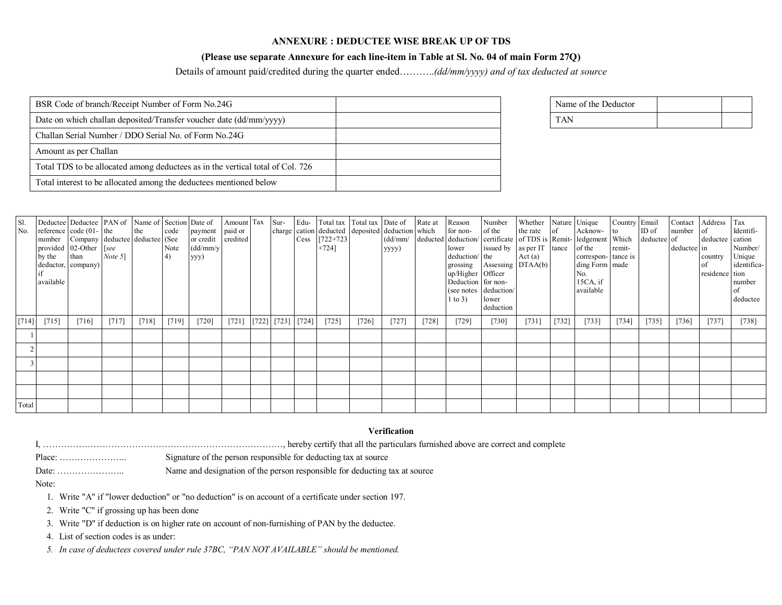### **ANNEXURE : DEDUCTEE WISE BREAK UP OF TDS**

## **(Please use separate Annexure for each line-item in Table at Sl. No. 04 of main Form 27Q)**

Details of amount paid/credited during the quarter ended………..*(dd/mm/yyyy) and of tax deducted at source*

| BSR Code of branch/Receipt Number of Form No.24G                               | Name of the Deductor |
|--------------------------------------------------------------------------------|----------------------|
| Date on which challan deposited/Transfer voucher date (dd/mm/yyyy)             | <b>TAN</b>           |
| Challan Serial Number / DDO Serial No. of Form No.24G                          |                      |
| Amount as per Challan                                                          |                      |
| Total TDS to be allocated among deductees as in the vertical total of Col. 726 |                      |
| Total interest to be allocated among the deductees mentioned below             |                      |

| Name of the Deductor |  |
|----------------------|--|
|                      |  |

| Sl.<br>No. | by the than<br>available | Deductee Deductee PAN of Name of Section Date of<br>reference $code(01 - the)$<br>number Company deductee deductee (See<br>provided $02$ -Other [see<br>deductor, company) | Note 51 | the     | code<br>Note<br>4) | payment<br>or credit credited<br>(dd/mm/y<br>yyy) | paid or |                                                                             | Cess [722+723]<br>$+724$ ] |         | Amount Tax Sur- Edu- Total tax Total tax Date of Rate at<br>charge cation deducted deposited deduction which<br>(dd/mm/<br>yyyy) |       | Reason<br>for non-<br>lower<br>deduction/ the<br>up/Higher Officer<br>Deduction for non-<br>$1$ to 3) | Number<br>of the<br>deducted deduction/ certificate of TDS is Remit-ledgement Which deducted of<br>issued by as per IT tance of the<br>grossing Assessing DTAA(b)<br>(see notes deduction/<br>lower<br>deduction | Whether Nature Unique<br>the rate of<br>Act(a) |         | Acknow- to<br>correspon-tance is<br>ding Form made<br>No.<br>$15CA$ , if<br>available | Country Email<br>remit- | ID <sub>of</sub> | Contact<br>number<br>deductee in | Address<br>l of<br>deductee cation<br>country<br>residence tion | Tax<br>Identifi-<br>Number/<br>Unique<br>identifica-<br>number<br><sub>of</sub><br>deductee |
|------------|--------------------------|----------------------------------------------------------------------------------------------------------------------------------------------------------------------------|---------|---------|--------------------|---------------------------------------------------|---------|-----------------------------------------------------------------------------|----------------------------|---------|----------------------------------------------------------------------------------------------------------------------------------|-------|-------------------------------------------------------------------------------------------------------|------------------------------------------------------------------------------------------------------------------------------------------------------------------------------------------------------------------|------------------------------------------------|---------|---------------------------------------------------------------------------------------|-------------------------|------------------|----------------------------------|-----------------------------------------------------------------|---------------------------------------------------------------------------------------------|
| $[714]$    | [715]                    | [716]                                                                                                                                                                      | [717]   | $[718]$ | [719]              | $[720]$                                           | $[721]$ | $[722] \begin{bmatrix} 723 \end{bmatrix} \begin{bmatrix} 724 \end{bmatrix}$ | $[725]$                    | $[726]$ | [727]                                                                                                                            | [728] | [729]                                                                                                 | $[730]$                                                                                                                                                                                                          | $[731]$                                        | $[732]$ | [733]                                                                                 | [734]                   | [735]            | $[736]$                          | $[737]$                                                         | $[738]$                                                                                     |
|            |                          |                                                                                                                                                                            |         |         |                    |                                                   |         |                                                                             |                            |         |                                                                                                                                  |       |                                                                                                       |                                                                                                                                                                                                                  |                                                |         |                                                                                       |                         |                  |                                  |                                                                 |                                                                                             |
|            |                          |                                                                                                                                                                            |         |         |                    |                                                   |         |                                                                             |                            |         |                                                                                                                                  |       |                                                                                                       |                                                                                                                                                                                                                  |                                                |         |                                                                                       |                         |                  |                                  |                                                                 |                                                                                             |
|            |                          |                                                                                                                                                                            |         |         |                    |                                                   |         |                                                                             |                            |         |                                                                                                                                  |       |                                                                                                       |                                                                                                                                                                                                                  |                                                |         |                                                                                       |                         |                  |                                  |                                                                 |                                                                                             |
|            |                          |                                                                                                                                                                            |         |         |                    |                                                   |         |                                                                             |                            |         |                                                                                                                                  |       |                                                                                                       |                                                                                                                                                                                                                  |                                                |         |                                                                                       |                         |                  |                                  |                                                                 |                                                                                             |
|            |                          |                                                                                                                                                                            |         |         |                    |                                                   |         |                                                                             |                            |         |                                                                                                                                  |       |                                                                                                       |                                                                                                                                                                                                                  |                                                |         |                                                                                       |                         |                  |                                  |                                                                 |                                                                                             |
| Total      |                          |                                                                                                                                                                            |         |         |                    |                                                   |         |                                                                             |                            |         |                                                                                                                                  |       |                                                                                                       |                                                                                                                                                                                                                  |                                                |         |                                                                                       |                         |                  |                                  |                                                                 |                                                                                             |

#### **Verification**

| Signature of the person responsible for deducting tax at source            |
|----------------------------------------------------------------------------|
| Name and designation of the person responsible for deducting tax at source |

Note:

1. Write "A" if "lower deduction" or "no deduction" is on account of a certificate under section 197.

2. Write "C" if grossing up has been done

3. Write "D" if deduction is on higher rate on account of non-furnishing of PAN by the deductee.

4. List of section codes is as under:

*5. In case of deductees covered under rule 37BC, "PAN NOT AVAILABLE" should be mentioned.*